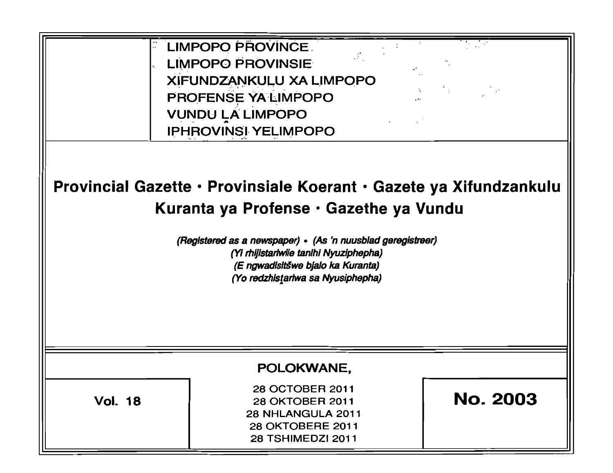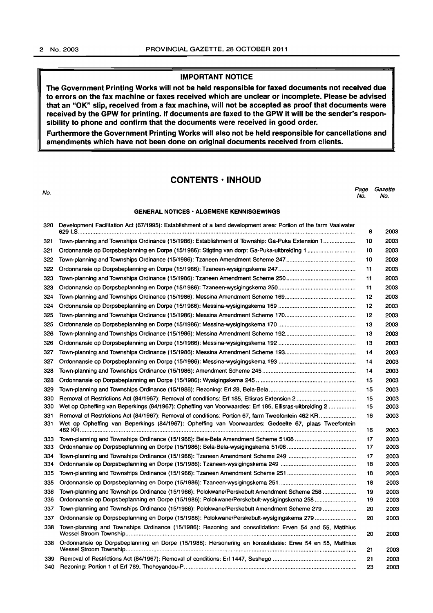## IMPORTANT NOTICE

The Government Printing Works will not be held responsible for faxed documents not received due to errors on the fax machine or faxes received which are unclear or incomplete. Please be advised that an "OK" slip, received from a fax machine, will not be accepted as proof that documents were received by the GPW for printing. If documents are faxed to the GPW it will be the sender's responsibility to phone and confirm that the documents were received in good order.

Furthermore the Government Printing Works will also not be held responsible for cancellations and amendments which have not been done on original documents received from clients.

## CONTENTS· INHOUD

| No. |                                                                                                                 | Page<br>No. | Gazette<br>No. |  |
|-----|-----------------------------------------------------------------------------------------------------------------|-------------|----------------|--|
|     | <b>GENERAL NOTICES · ALGEMENE KENNISGEWINGS</b>                                                                 |             |                |  |
| 320 | Development Facilitation Act (67/1995): Establishment of a land development area: Portion of the farm Vaalwater |             | 2003           |  |

| 321  | Town-planning and Townships Ordinance (15/1986): Establishment of Township: Ga-Puka Extension 1         | 10 | 2003 |
|------|---------------------------------------------------------------------------------------------------------|----|------|
| 321  |                                                                                                         | 10 | 2003 |
| 322  |                                                                                                         | 10 | 2003 |
| 322  |                                                                                                         | 11 | 2003 |
| 323  |                                                                                                         | 11 | 2003 |
| 323  |                                                                                                         | 11 | 2003 |
| 324  |                                                                                                         | 12 | 2003 |
| 324  |                                                                                                         | 12 | 2003 |
| 325  |                                                                                                         | 12 | 2003 |
| 325  |                                                                                                         | 13 | 2003 |
| 326  |                                                                                                         | 13 | 2003 |
| 326  |                                                                                                         | 13 | 2003 |
| 327  |                                                                                                         | 14 | 2003 |
| 327  |                                                                                                         | 14 | 2003 |
| 328  |                                                                                                         | 14 | 2003 |
| 328  |                                                                                                         | 15 | 2003 |
| 329  |                                                                                                         | 15 | 2003 |
| 330  |                                                                                                         | 15 | 2003 |
| 330  | Wet op Opheffing van Beperkings (84/1967): Opheffing van Voorwaardes: Eri 185, Ellisras-uitbreiding 2   | 15 | 2003 |
| 331  | Removal of Restrictions Act (84/1967): Removal of conditions: Portion 67, farm Tweefontein 462 KR       | 16 | 2003 |
| 331  | Wet op Opheffing van Beperkings (84/1967): Opheffing van Voorwaardes: Gedeelte 67, plaas Tweefontein    | 16 | 2003 |
| 333  |                                                                                                         | 17 | 2003 |
| 333  |                                                                                                         | 17 | 2003 |
| 334  |                                                                                                         | 17 | 2003 |
| 334  |                                                                                                         | 18 | 2003 |
| 335  |                                                                                                         | 18 | 2003 |
| 335  |                                                                                                         | 18 | 2003 |
| 336  | Town-planning and Townships Ordinance (15/1986): Polokwane/Perskebult Amendment Scheme 258              | 19 | 2003 |
| 336  | Ordonnansie op Dorpsbeplanning en Dorpe (15/1986): Polokwane/Perskebult-wysigingskema 258               | 19 | 2003 |
| 337  | Town-planning and Townships Ordinance (15/1986): Polokwane/Perskebult Amendment Scheme 279              | 20 | 2003 |
| 337  | Ordonnansie op Dorpsbeplanning en Dorpe (15/1986): Polokwane/Perskebult-wysigingskema 279               | 20 | 2003 |
| 338  | Town-planning and Townships Ordinance (15/1986): Rezoning and consolidation: Erven 54 and 55, Matthius  | 20 | 2003 |
| 338  | Ordonnansie op Dorpsbeplanning en Dorpe (15/1986): Hersonering en konsolidasie: Erwe 54 en 55, Matthius | 21 | 2003 |
| 339. |                                                                                                         | 21 | 2003 |
| 340  |                                                                                                         | 23 | 2003 |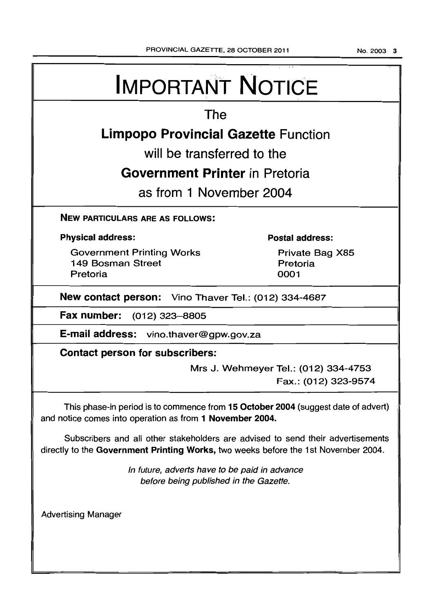# IMPORTANT NOTICE The Limpopo Provincial Gazette Function will be transferred to the Government Printer in Pretoria as from 1 November 2004 NEW PARTICULARS ARE AS FOLLOWS: Physical address: Government Printing Works 149 Bosman Street Pretoria Postal address: Private Bag X85 Pretoria 0001 New contact person: Vino Thaver Tel.: (012) 334-4687 Fax number: (012) 323-8805 E-mail address: vino.thaver@gpw.gov.za Contact person for subscribers: Mrs J. Wehmeyer Tel.: (012) 334-4753 Fax.: (012) 323-9574 This phase-in period is to commence from 15 October 2004 (suggest date of advert) and notice comes into operation as from 1 November 2004. Subscribers and all other stakeholders are advised to send their advertisements directly to the Government Printing Works, two weeks before the 1 st November 2004. Advertising Manager In future, adverts have to be paid in advance before being published in the Gazette.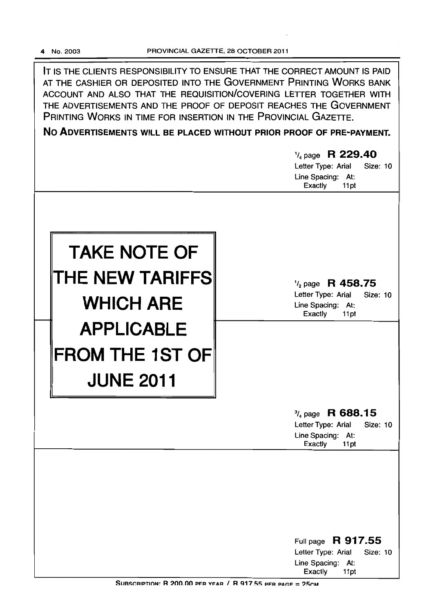**IT** IS THE CLIENTS RESPONSIBILITY TO ENSURE THAT THE CORRECT AMOUNT IS PAID AT THE CASHIER OR DEPOSITED INTO THE GOVERNMENT PRINTING WORKS BANK ACCOUNT AND ALSO THAT THE REQUISITION/COVERING LETTER TOGETHER WITH THE ADVERTISEMENTS AND THE PROOF OF DEPOSIT REACHES THE GOVERNMENT PRINTING WORKS IN TIME FOR INSERTION IN THE PROVINCIAL GAZETTE.

**No ADVERTISEMENTS WILL BE PLACED WITHOUT PRIOR PROOF OF PRE-PAYMENT.** 

|                                                                                                                               | $\frac{1}{4}$ page R 229.40<br>Letter Type: Arial<br><b>Size: 10</b><br>Line Spacing: At:<br><b>Exactly</b><br>11pt |
|-------------------------------------------------------------------------------------------------------------------------------|---------------------------------------------------------------------------------------------------------------------|
| <b>TAKE NOTE OF</b><br>THE NEW TARIFFS<br><b>WHICH ARE</b><br><b>APPLICABLE</b><br><b>FROM THE 1ST OF</b><br><b>JUNE 2011</b> | $\frac{1}{2}$ page R 458.75<br>Letter Type: Arial<br>Size: 10<br>Line Spacing: At:<br>Exactly<br>11pt               |
|                                                                                                                               | $\frac{3}{4}$ page R 688.15<br>Letter Type: Arial<br><b>Size: 10</b><br>Line Spacing: At:<br>Exactly<br>11pt        |
|                                                                                                                               | Full page R 917.55<br>Letter Type: Arial<br>Size: 10<br>Line Spacing: At:<br>Exactly<br>11pt                        |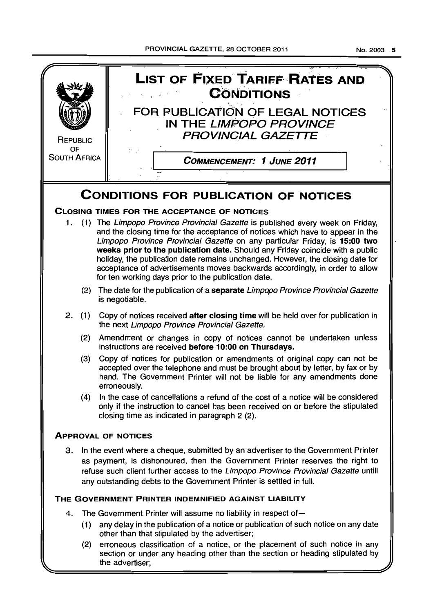**LIST OF FIXED TARIFF RATES AND CONDITIONS**  $\mathcal{L}_{\text{max}}(\mathcal{L})$  and FOR PUBLICATION OF LEGAL NOTICES IN THE LIMPOPO PROVINCE PROVINCIAL GAZETTE **REPUBLIC** OF SOUTH AFRICA .1 COMMENCEMENT: 1 JUNE 2011 **CONDITIONS FOR PUBLICATION OF NOTICES**  CLOSING TIMES FOR THE ACCEPTANCE OF NOTICES 1. (1) The Limpopo Province Provincial Gazette is published every week on Friday, and the closing time for the acceptance of notices which have to appear in the Limpopo Province Provincial Gazette on any particular Friday, is 15:00 two weeks prior to the publication date. Should any Friday coincide with a public holiday, the publication date remains unchanged. However, the closing date for acceptance of advertisements moves backwards accordingly, in order to allow for ten working days prior to the publication date. (2) The date for the publication of a separate Limpopo Province Provincial Gazette is negotiable. 2. (1) Copy of notices received after closing time will be held over for publication in the next Limpopo Province Provincial Gazette. (2) Amendment or changes in copy of notices cannot be undertaken unless instructions are received before 10:00 on Thursdays. (3) Copy of notices for publication or amendments of original copy can not be accepted over the telephone and must be brought about by letter, by fax or by hand. The Government Printer will not be liable for any amendments done erroneously. (4) In the case of cancellations a refund of the cost of a notice will be considered only if the instruction to cancel has been received on or before the stipulated closing time as indicated in paragraph 2 (2). ApPROVAL OF NOTICES 3. In the event where a cheque, submitted by an advertiser to the Government Printer as payment, is dishonoured, then the Government Printer reserves the right to refuse such client further access to the Limpopo Province Provincial Gazette untill any outstanding debts to the Government Printer is settled in full. THE GOVERNMENT PRINTER INDEMNIFIED AGAINST LIABILITY 4. The Government Printer will assume no liability in respect of-

- (1) any delay in the publication of a notice or publication of such notice on any date other than that stipulated by the advertiser;
- (2) erroneous classification of a notice, or the placement of such notice in any section or under any heading other than the section or heading stipulated by the advertiser;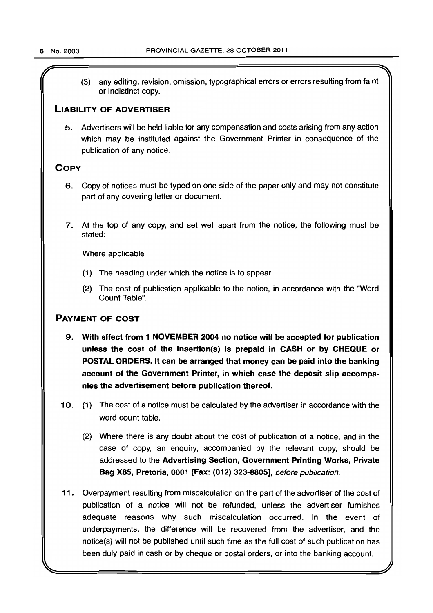(3) any editing, revision, omission, typographical errors or errors resulting from faint or indistinct copy.

## LIABILITY OF ADVERTISER

5. Advertisers will be held liable for any compensation and costs arising from any action which may be instituted against the Government Printer in consequence of the publication of any notice.

## **COPY**

- 6. Copy of notices must be typed on one side of the paper only and may not constitute part of any covering letter or document.
- 7. At the top of any copy, and set well apart from the notice, the following must be stated:

Where applicable

- (1) The heading under which the notice is to appear.
- (2) The cost of publication applicable to the notice, in accordance with the "Word Count Table".

## PAYMENT OF COST

- 9. With effect from 1 NOVEMBER 2004 no notice will be accepted for publication unless the cost of the insertion(s) is prepaid in CASH or by CHEQUE or POSTAL ORDERS. It can be arranged that money can be paid into the banking account of the Government Printer, in which case the deposit slip accompanies the advertisement before publication thereof.
- 10. (1) The cost of a notice must be calculated by the advertiser in accordance with the word count table.
	- (2) Where there is any doubt about the cost of publication of a notice, and in the case of copy, an enquiry, accompanied by the relevant copy, should be addressed to the Advertising Section, Government Printing Works, Private Bag X85, Pretoria, 0001 [Fax: (012) 323-8805], before publication.
- 11. Overpayment resulting from miscalculation on the part of the advertiser of the cost of publication of a notice will not be refunded, unless the advertiser furnishes adequate reasons why such miscalculation occurred. In the event of underpayments, the difference will be recovered from the advertiser, and the notice(s) will not be published until such time as the full cost of such publication has been duly paid in cash or by cheque or postal orders, or into the banking account.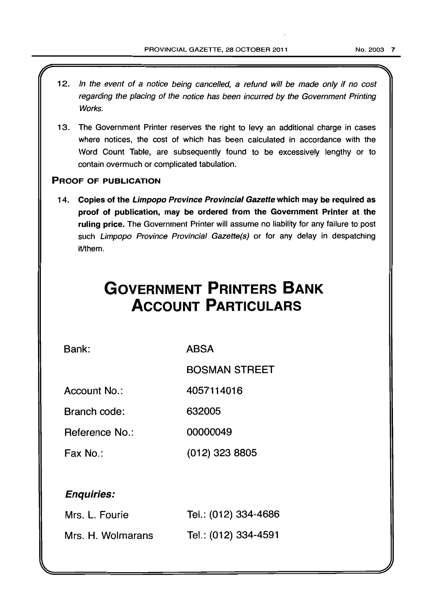- 12. In the event of a notice being cancelled, a refund will be made only if no cost regarding the placing of the notice has been incurred by the Government Printing Works.
- 13. The Government Printer reserves the right to levy an additional charge in cases where notices, the cost of which has been calculated in accordance with the Word Count Table, are subsequently found to be excessively lengthy or to contain overmuch or complicated tabulation.

## PROOF OF PUBLICATION

14. Copies of the Limpopo Province Provincial Gazette which may be required as proof of publication, may be ordered from the Government Printer at the ruling price. The Government Printer will assume no liability for any failure to post such Limpopo Province Provincial Gazette(s) or for any delay in despatching it/them.

# **GOVERNMENT PRINTERS BANK ACCOUNT PARTICULARS**

Bank:

ABSA

BOSMAN STREET

Account No.: 4057114016

Branch code: 632005

Reference No.: 00000049

Fax No.: (012) 323 8805

## Enquiries:

| Mrs. L. Fourie    | Tel.: (012) 334-4686 |
|-------------------|----------------------|
| Mrs. H. Wolmarans | Tel.: (012) 334-4591 |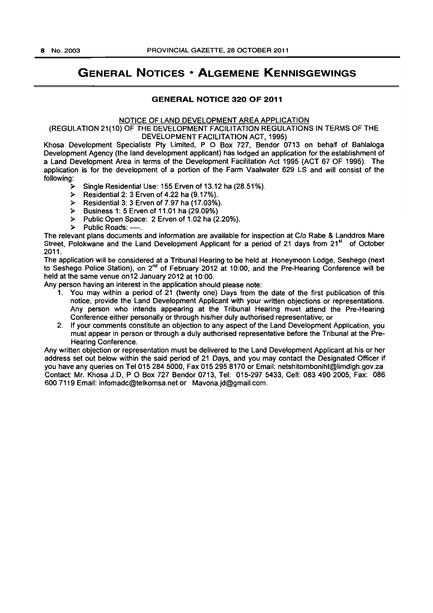# **GENERAL NOTICES • ALGEMENE KENNISGEWINGS**

## **GENERAL NOTICE 320 OF 2011**

#### NOTICE OF LAND DEVELOPMENT AREA APPLICATION

(REGULATION 21(10) OF THE DEVELOPMENT FACILITATION REGULATIONS IN TERMS OF THE DEVELOPMENT FACILITATION ACT, 1995}

Khosa Development Specialists Pty Limited, P O Box 727, Bendor 0713 on behalf of Bahlaloga Development Agency (the land development applicant) has lodged an application for the establishment of a Land Development Area in terms of the Development Facilitation Act 1995 (ACT 67 OF 1995). The application is for the development of a portion of the Farm Vaalwater 629 LS and will consist of the following:

- )l> Single Residential Use: 155 Erven of 13.12 ha (28.51%).
- $\triangleright$  Residential 2: 3 Erven of 4.22 ha (9.17%).
- };> Residential 3: 3 Erven of 7.97 ha (17.03%).
- $\triangleright$  Business 1: 5 Erven of 11.01 ha (29.09%)
- $\triangleright$  Public Open Space: 2 Erven of 1.02 ha (2.20%).
- > Public Roads: ----.

The relevant plans documents and information are available for inspection at C/o Rabe & Landdros Mare Street, Polokwane and the Land Development Applicant for a period of 21 days from 21<sup>st</sup> of October 2011.

The application will be considered at a Tribunal Hearing to be held at .Honeymoon Lodge, Seshego (next to Seshego Police Station), on 2<sup>nd</sup> of February 2012 at 10:00, and the Pre-Hearing Conference will be held at the same venue on 12 January 2012 at 10:00.

Any person having an interest in the application should please note:

- 1. You may within a period of 21 (twenty one) Days from the date of the first publication of this notice, provide the Land Development Applicant with your written objections or representations. Any person who intends appearing at the Tribunal Hearing must attend the Pre-Hearing Conference either personally or through his/her duly authorised representative; or
- 2. If your comments constitute an objection to any aspect of the Land Development Application, you must appear in person or through a duly authorised representative before the Tribunal at the Pre-Hearing Conference.

Any written objection or representation must be delivered to the Land Development Applicant at his or her address set out below within the said period of 21 Days, and you may contact the Designated Officer if you have any queries on Tel 015 284 5000. Fax 015 295 8170 or Email: netshitomboniht@limdlgh.gov.za Contact: Mr. Khosa J.D, POBox 727 Bendor 0713, Tel: 015-297 5433, Cen: 0834902005, Fax: 086 600 7119 Email: infomadc@telkomsa.net or Mavona.jd@gmail.com.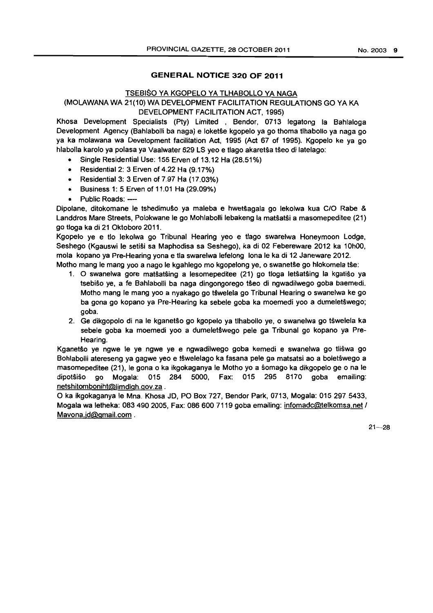## **GENERAL NOTICE 320 OF 2011**

## TSEBISO YA KGOPELO YA TLHABOLLO YA NAGA (MOLAWANA WA 21(10) WA DEVELOPMENT FACILITATION REGULATIONS GO YA KA DEVELOPMENT FACILITATION ACT, 1995)

Khosa Development Specialists (Pty) Limited • Bendor, 0713 legatong la Bahlaloga Development Agency (Bahlabolli ba naga) e loketŝe kgopelo ya go thoma tlhabollo ya naga go ya ka molawana wa Development facilitation Act. 1995 (Act 67 of 1995). Kgopelo ke ya go hlabolla karolo ya polasa ya Vaalwater 629 LS yeo e tlago akaretsa tseo di latelago:

- Single Residential Use: 155 Erven of 13.12 Ha (28.51%)
- Residential 2: 3 Erven of 4.22 Ha (9.17%)
- Residential 3: 3 Erven of 7.97 Ha (17.03%)
- Business 1: 5 Erven of 11.01 Ha (29.09%)
- Public Roads: ----

Dipolane. ditokomane Ie tshedimuso ya maleba e hwet§agala go lekolwa kua C/O Rabe & Landdros Mare Streets, Polokwane Ie go Mohlabolli lebakeng la matsatsi a masomepeditee (21) go tioga ka di 21 Oktoboro 2011.

Kgopelo ye e tlo lekolwa go Tribunal Hearing yeo e tlago swarelwa Honeymoon Lodge. Seshego (Kgauswi Ie selisi sa Maphodisa sa Seshego). ka di 02 Febereware 2012 ka 10hOO, mola kopano ya Pre-Hearing yona e tla swarelwa lefelong lona Ie ka di 12 Janeware 2012. Motho mang Ie mang yoo a nago le kgahlego mo kgopelong ye, o swanetse go hlokomela tse:

- 1. 0 swanelwa gore matsatsing a lesomepeditee (21) go tioga letsatsing la kgatiso ya tsebiŝo ye, a fe Bahlabolli ba naga dingongorego tŝeo di ngwadilwego goba baemedi. Motho mang Ie mang yoo a nyakago go tswelela go Tribunal Hearing 0 swanelwa ke go ba gona go kopano ya Pre-Hearing ka sebele goba ka moemedi yoo a dumeletswego; goba.
- 2. Ge dikgopolo di na Ie kganetso go kgopelo ya tlhabollo ye, 0 swanelwa go tswelela ka sebele goba ka moemedi yoo a dumelet§wego pele ga Tribunal go kopano ya Pre-Hearing.

Kganetso ye ngwe Ie ye ngwe ye e ngwadilwego goba kemedi e swanelwa go tliswa go Bohlabolli atereseng ya gagwe yeo e tswelelago ka fasana pele ga matsatsi ao a boletswego a masomepeditee (21), Ie gona 0 ka ikgokaganya Ie Motho yo a somago ka dikgopelo ge 0 na Ie dipotsiso go Mogala: 015 284 5000, Fax: 015 295 8170 goba emailing: netshitomboniht@limdlgh.gov.za .

o ka ikgokaganya Ie Mna. Khosa JD, PO Box 727, Bendor Park, 0713, Mogala: 0152975433, Mogala wa letheka: 083 490 2005, Fax: 086 600 7119 goba emailing: infomadc@telkomsa.net I Mavona.jd@gmail.com .

 $21 - 28$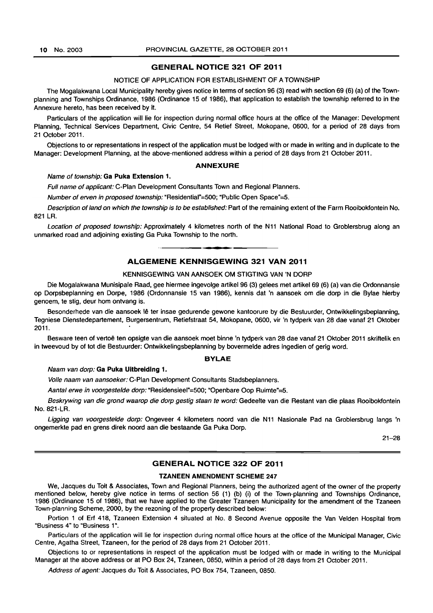#### GENERAL NOTICE 321 OF 2011

#### NOTICE OF APPLICATION FOR ESTABLISHMENT OF A TOWNSHIP

The Mogalakwana Local Municipality hereby gives notice in terms of section 96 (3) read with section 69 (6) (a) of the Townplanning and Townships Ordinance, 1986 (Ordinance 15 of 1986), that application to establish the township referred to in the Annexure hereto, has been received by it.

Particulars of the application will lie for inspection during normal office hours at the office of the Manager: Development Planning, Technical Services Department, Civic Centre, 54 Retief Street, Mokopane, 0600, for a period of 28 days from 21 October 2011.

Objections to or representations in respect of the application must be lodged with or made in writing and in duplicate to the Manager: Development Planning, at the above-mentioned address within a period of 28 days from 21 October 2011.

#### ANNEXURE

#### Name of township: Ga Puka Extension 1.

Full name of applicant: C-Plan Development Consultants Town and Regional Planners.

Number of erven in proposed township: "Residential"=500; "Public Open Space"=5.

Description of land on which the township is to be established: Part of the remaining extent of the Farm Rooibokfontein No. 821 LR.

Location of proposed township: Approximately 4 kilometres north of the N11 National Road to Groblersbrug along an unmarked road and adjoining existing Ga Puka Township to the north.

## **•**  ALGEMENE KENNISGEWING 321 VAN 2011

#### KENNISGEWING VAN AANSOEK OM STIGTING VAN 'N DORP

Die Mogalakwana Munisipale Raad, gee hiermee ingevolge artikel 96 (3) gelees met artikel 69 (6) (a) van die Ordonnansie op Dorpsbeplanning en Dorpe, 1986 (Ordonnansie 15 van 1986), kennis dat 'n aansoek om die dorp in die Bylae hierby genoem, te stig, deur hom ontvang is.

Besonderhede van die aansoek lê ter insae gedurende gewone kantoorure by die Bestuurder, Ontwikkelingsbeplanning, Tegniese Dienstedepartement, Burgersentrum, Retiefstraat 54, Mokopane, 0600, vir 'n tydperk van 28 dae vanaf 21 Oktober 2011.

Besware teen of vertoë ten opsigte van die aansoek moet binne 'n tydperk van 28 dae vanaf 21 Oktober 2011 skriftelik en in tweevoud by of tot die Bestuurder: Ontwikkelingsbeplanning by bovermelde adres ingedien of gerig word.

#### BYLAE

Naam van dorp: Ga Puka Uitbreiding 1.

Volle naam van aansoeker: C-Plan Development Consultants Stadsbeplanners.

Aantal erwe in voorgestelde dorp: "Residensieel"=500; "Opehbare Oop Ruimte"=5.

Beskrywing van die grond waarop die dorp gestig staan te word: Gedeelte van die Restant van die plaas Rooibokfontein No. 821-LA.

Ligging van voorgestelde dorp: Ongeveer 4 kilometers noord van die N11 Nasionale Pad na Groblersbrug langs 'n ongemerkte pad en grens direk noord aan die bestaande Ga Puka Dorp.

21-28

#### GENERAL NOTICE 322 OF 2011

#### TZANEEN AMENDMENT SCHEME 247

We, Jacques du Toit & Associates, Town and Regional Planners, being the authorized agent of the owner of the property mentioned below, hereby give notice in terms of section 56 (1) (b) (i) of the Town-planning and Townships Ordinance, 1986 (Ordinance 15 of 1986), that we have applied to the Greater Tzaneen Municipality for the amendment of the Tzaneen Town-planning Scheme, 2000, by the rezoning of the property described below:

Portion 1 of Erf 418, Tzaneen Extension 4 situated at No. 8 Second Avenue opposite the Van Velden Hospital from "Business 4" to "Business 1".

Particulars of the application will lie for inspection during normal office hours at the office of the Municipal Manager, Civic Centre, Agatha Street, Tzaneen, for the period of 28 days from 21 October 2011.

Objections to or representations in respect of the application must be lodged with or made in writing to the Municipal Manager at the above address or at PO Box 24, Tzaneen, 0850, within a period of 28 days from 21 October 2011.

Address of agent: Jacques du Toit & Associates, PO Box 754, Tzaneen, 0850.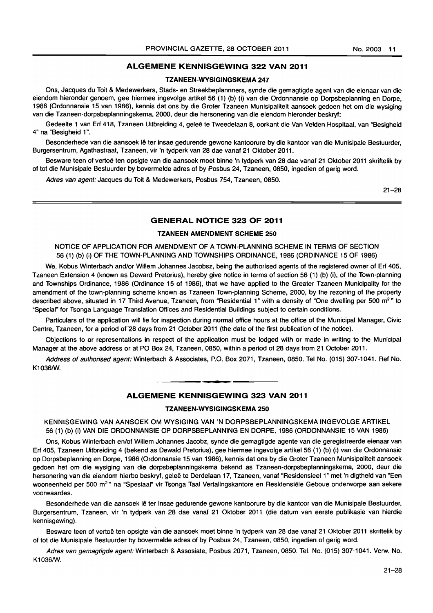#### ALGEMENE KENNISGEWING 322 VAN 2011

#### TZANEEN-WYSIGINGSKEMA 247

Ons, Jacques du Toit & Medewerkers, Stads- en Streekbeplannners, synde die gemagtigde agent van die eienaar van die eiendom hieronder genoem, gee hiermee ingevolge artikel 56 (1) (b) (i) van die Ordonnansie op Dorpsbeplanning en Dorpe, 1986 (Ordonnansie 15 van 1986), kennis dat ons by die Groter Tzaneen Munisipaliteit aansoek gedoen het om die wysiging van die Tzaneen-dorpsbeplanningskema, 2000, deur die hersonering van die eiendom hieronder beskryf:

Gedeelte 1 van Erf 418, Tzaneen Uitbreiding 4, geleë te Tweedelaan 8, oorkant die Van Velden Hospitaal, van "Besigheid 4" na "Besigheid 1".

Besonderhede van die aansoek lê ter insae gedurende gewone kantoorure by die kantoor van die Munisipale Bestuurder, Burgersentrum, Agathastraat, Tzaneen, vir 'n tydperk van 28 dae vanaf 21 Oktober 2011.

Besware teen of vertoe ten opsigte van die aansoek moet binne 'n tydperk van 28 dae vanaf 21 Oktober 2011 skriftelik by of tot die Munisipale Bestuurder by bovermelde adres of by Posbus 24, Tzaneen, 0850, ingedien of gerig word.

Adres van agent: Jacques du Toit & Medewerkers, Posbus 754, Tzaneen, 0850.

21-28

## GENERAL NOTICE 323 OF 2011

#### TZANEEN AMENDMENT SCHEME 250

NOTICE OF APPLICATION FOR AMENDMENT OF A TOWN-PLANNING SCHEME IN TERMS OF SECTION 56 (1) (b) (i) OF THE TOWN-PLANNING AND TOWNSHIPS ORDINANCE, 1986 (ORDINANCE 15 OF 1986)

We, Kobus Winterbach and/or Willem Johannes Jacobsz, being the authorised agents of the registered owner of Erf 405, Tzaneen Extension 4 (known as Deward Pretorius), hereby give notice in terms of section 56 (1) (b) (i), of the Town-planning and Townships Ordinance, 1986 (Ordinance 15 of 1986), that we have applied to the Greater Tzaneen Municipality for the amendment of the town-planning scheme known as Tzaneen Town-planning Scheme, 2000, by the rezoning of the property described above, situated in 17 Third Avenue, Tzaneen, from "Residential 1" with a density of "One dwelling per 500 m<sup>2</sup>" to "Special" for Tsonga Language Translation Offices and Residential Buildings subject to certain conditions.

Particulars of the application will lie for inspection during normal office hours at the office of the Municipal Manager, Civic Centre, Tzaneen, for a period of 28 days from 21 October 2011 (the date of the first publication of the notice).

Objections to or representations in respect of the application must be lodged with or made in writing to the Municipal Manager at the above address or at PO Box 24, Tzaneen, 0850, within a period of 28 days from 21 October 2011.

Address of authorised agent: Winterbach & Associates, P.O. Box 2071, Tzaneen, 0850. Tel No. (015) 307-1041. Ref No. K1036/W.

**• •** 

## ALGEMENE KENNISGEWING 323 VAN 2011

#### TZANEEN-WYSIGINGSKEMA 250

KENNISGEWING VAN AANSOEK OM WYSIGING VAN 'N DORPSBEPLANNINGSKEMA INGEVOLGE ARTIKEL 56 (1) (b) (i) VAN DIE ORDONNANSIE OP DORPSBEPLANNING EN DORPE, 1986 (ORDONNANSIE 15 VAN 1986)

Ons, Kobus Winterbach en/of Willem Johannes Jacobz, synde die gemagtigde agente van die geregistreerde eienaar van Erf 405, Tzaneen Uitbreiding 4 (bekend as Dewald Pretorius), gee hiermee ingevolge artikel 56 (1) (b) (i) van die Ordonnansie op Dorpsbeplanning en Dorpe, 1986 (Ordonnansie 15 van 1986), kennis dat ons by die Groter Tzaneen Munisipaliteit aansoek gedoen het om die wysiging van die dorpsbeplanningskema bekend as Tzaneen-dorpsbeplanningskema, 2000, deur die hersonering van die eiendom hierbo beskryf, geleë te Derdelaan 17, Tzaneen, vanaf "Residensieel 1" met 'n digtheid van "Een wooneenheid per 500 m<sup>2</sup> " na "Spesiaal" vir Tsonga Taal Vertalingskantore en Residensiële Geboue onderworpe aan sekere voorwaardes.

Besonderhede van die aansoek lê ter insae gedurende gewone kantoorure by die kantoor van die Munisipale Bestuurder, Burgersentrum, Tzaneen, vir 'n tydperk van 28 dae vanaf 21 Oktober 2011 (die datum van eerste publikasie van hierdie kennisgewing).

Besware teen of vertoe ten opsigte van die aansoek moet binne 'n tydperk van 28 dae vanaf 21 Oktober 2011 skriftelik by of tot die Munisipale Bestuurder by bovermelde adres of by Posbus 24, Tzaneen, 0850, ingedien of gerig word.

Adres van gemagtigde agent: Winterbach & Assosiate, Posbus 2071, Tzaneen, 0850. Tel. No. (015) 307-1041. Verw. No. K1036/W.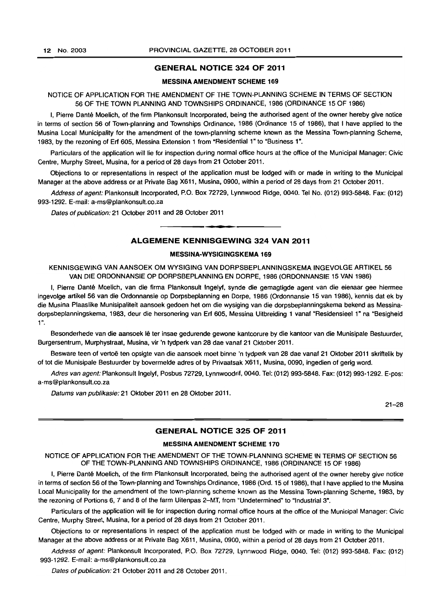## GENERAL NOTICE 324 OF 2011

#### MESSINA AMENDMENT SCHEME 169

#### NOTICE OF APPLICATION FOR THE AMENDMENT OF THE TOWN-PLANNING SCHEME IN TERMS OF SECTION 56 OF THE TOWN PLANNING AND TOWNSHIPS ORDINANCE, 1986 (ORDINANCE 15 OF 1986)

I, Pierre Dante Moelich, of the firm Plankonsult Incorporated, being the authorised agent of the owner hereby give notice in terms of section 56 of Town-planning and Townships Ordinance, 1986 (Ordinance 15 of 1986), that I have applied to the Musina Local Municipality for the amendment of the town-planning scheme known as the Messina Town-planning Scheme, 1983, by the rezoning of Erf 60S, Messina Extension 1 from "Residential 1" to "Business 1".

Particulars of the application will lie for inspection during normal office hours at the office of the Municipal Manager: Civic Centre, Murphy Street, Musina, for a period of 28 days from 21 October 2011.

Objections to or representations in respect of the application must be lodged with or made in writing to the Municipal Manager at the above address or at Private Bag X611, Musina, 0900, within a period of 28 days from 21 October 2011.

Address of agent: Plankonsult Incorporated, P.O. Box 72729, Lynnwood Ridge, 0040. Tel No. (012) 993-5848. Fax: (012) 993-1292. E-mail: a-ms@plankonsult.co.za

Dates of publication: 21 October 2011 and 28 October 2011

#### ALGEMENE KENNISGEWING 324 VAN 2011

• **• I** 

#### MESSINA-WYSIGINGSKEMA 169

KENNISGEWING VAN AANSOEK OM WYSIGING VAN DORPSBEPLANNINGSKEMA INGEVOLGE ARTIKEL 56 VAN DIE ORDONNANSIE OP DORPSBEPLANNING EN DORPE, 1986 (ORDONNANSIE 15 VAN 1986)

I, Pierre Dante Moelich, van die firma Plankonsult Ingelyf, synde die gemagtigde agent van die eienaar gee hiermee ingevolge artikel 56 van die Ordonnansie op Dorpsbeplanning en Dorpe, 1986 (Ordonnansie 15 van 1986), kennis dat ek by die Musina Plaaslike Munisipaliteit aansoek gedoen het om die wysiging van die dorpsbeplanningskema bekend as Messinadorpsbeplanningskema, 1983, deur die hersonering van Erf 605, Messina Uitbreiding 1 vanaf "Residensieel 1" na "Besigheid 1".

Besonderhede van die aansoek lê ter insae gedurende gewone kantoorure by die kantoor van die Munisipale Bestuurder, Burgersentrum, Murphystraat, Musina, vir 'n tydperk van 28 dae vanaf 21 Oktober 2011.

Besware teen of vertoë ten opsigte van die aansoek moet binne 'n tydperk van 28 dae vanaf 21 Oktober 2011 skriftelik by of tot die Munisipale Bestuurder by bovermelde adres of by Privaatsak X611, Musina, 0090, ingedien of gerig word.

Adres van agent: Plankonsult Ingelyf, Posbus 72729, Lynnwoodrif, 0040. Tel: (012) 993-5848. Fax: (012) 993-1292. E-pos: a-ms@plankonsult.co.za

Datums van publikasie: 21 Oktober 2011 en 28 Oktober 2011.

21-28

#### GENERAL NOTICE 325 OF 2011

#### MESSINA AMENDMENT SCHEME 170

#### NOTICE OF APPLICATION FOR THE AMENDMENT OF THE TOWN-PLANNING SCHEME IN TERMS OF SECTION 56 OF THE TOWN-PLANNING AND TOWNSHIPS ORDINANCE, 1986 (ORDINANCE 15 OF 1986)

I, Pierre Dante Moetich, of the firm Plankonsult Incorporated, being the authorised agent of the owner hereby give notice in terms of section 56 of the Town-planning and Townships Ordinance, 1986 (Ord. 15 of 1986), that I have applied to the Musina Local Municipality for the amendment of the town-planning scheme known as the Messina Town-planning Scheme, 1983, by the rezoning of Portions 6, 7 and 8 of the farm Uitenpas 2-MT. from "Undetermined" to "Industrial 3".

Particulars of the application will lie for inspection during normal office hours at the office of the Municipal Manager: Civic Centre, Murphy Street, Musina, for a period of 28 days from 21 October 2011.

Objections to or representations in respect of the application must be lodged with or made in writing to the Municipal Manager at the above address or at Private Bag X611, Musina, 0900, within a period of 28 days from 21 October 2011.

Address of agent: Plankonsult Incorporated, P.O. Box 72729, Lynnwood Ridge, 0040. Tel: (012) 993-5848. Fax: (012) 993-1292. E-mail: a-ms@plankonsult.co.za

Dates of publication: 21 October 2011 and 28 October 2011.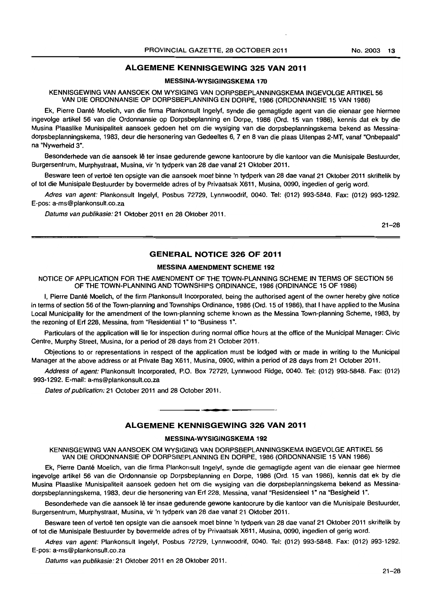## ALGEMENE KENNISGEWING 325 VAN 2011

#### MESSINA-WYSIGINGSKEMA 170

KENNISGEWING VAN AANSOEK OM WYSIGING VAN DORPSBEPLANNINGSKEMA INGEVOLGE ARTIKEL 56 VAN DIE ORDONNANSIE OP DORPSBEPLANNING EN DORPE. 1986 (ORDONNANSIE 15 VAN 1986)

Ek, Pierre Dante Moelich, van die firma Plankonsult Ingelyf, synde die gemagtigde agent van die eienaar gee hiermee ingevolge artikel 56 van die Ordonnansie op Dorpsbeplanning en Dorpe, 1986 (Ord. 15 van 1986), kennis dat ek by die Musina Plaaslike Munisipaliteit aansoek gedoen het om die wysiging van die dorpsbeplanningskema bekend as Messinadorpsbeplanningskema, 1983. deur die hersonering van Gedeeltes 6, 7 en 8 van die plaas Uitenpas 2-MT, vanaf "Onbepaald" na "Nywerheid 3".

Besonderhede van die aansoek lê ter insae gedurende gewone kantoorure by die kantoor van die Munisipale Bestuurder, Burgersentrum, Murphystraat, Musina, vir 'n tydperk van 28 dae vanaf 21 Oktober 2011.

Besware teen of vertoë ten opsigte van die aansoek moet binne 'n tydperk van 28 dae vanaf 21 Oktober 2011 skriftelik by of tot die Munisipale Bestuurder by bovermelde adres of by Privaatsak X611, Musina, 0090, ingedien of gerig word.

Adres van agent: Plankonsult Ingelyf, Posbus 72729, Lynnwoodrif, 0040. Tel: (012) 993-5848. Fax: (012) 993-1292. E-pos: a-ms@plankonsult.co.za

Datums van publikasie: 21 Oktober 2011 en 28 Oktober 2011.

21-28

## GENERAL NOTICE 326 OF 2011

## MESSINA AMENDMENT SCHEME 192

NOTICE OF APPLICATION FOR THE AMENDMENT OF THE TOWN-PLANNING SCHEME IN TERMS OF SECTION 56 OF THE TOWN-PLANNING AND TOWNSHIPS ORDINANCE, 1986 (ORDINANCE 15 OF 1986)

I, Pierre Dante Moelich, of the firm Plankonsult Incorporated, being the authorised agent of the owner hereby give notice in terms of section 56 of the Town-planning and Townships Ordinance, 1986 (Ord. 15 of 1986), that I have applied to the Musina Local Municipality for the amendment of the town-planning scheme known as the Messina Town-planning Scheme. 1983, by the rezoning of Erf 228, Messina, from "Residential 1" to "Business 1".

Particulars of the application will lie for inspection during normal office hours at the office of the Municipal Manager: Civic Centre, Murphy Street, Musina, for a period of 28 days from 21 October 2011.

Objections to or representations in respect of the application must be lodged with or made in writing to the Municipal Manager at the above address or at Private Bag X611, Musina, 0900, within a period of 28 days from 21 October 2011.

Address of agent: Plankonsult Incorporated, P.O. Box 72729, Lynnwood Ridge. 0040. Tel: (012) 993-5848. Fax: (012) 993-1292. E-mail: a-ms@plankonsult.co.za

Dates of publication: 21 October 2011 and 28 October 2011.

#### ALGEMENE KENNISGEWING 326 VAN 2011

**. -**

#### MESSINA-WYSIGINGSKEMA 192

KENNISGEWING VAN AANSOEK OM WYSIGING VAN DORPSBEPLANNINGSKEMA INGEVOLGE ARTIKEL 56 VAN DIE ORDONNANSIE OP DORPSBEPLANNING EN DORPE, 1986 (ORDONNANSIE 15 VAN 1986)

Ek, Pierre Dante Moelich, van die firma Plankonsult Ingelyf, synde die gemagtigde agent van die eienaar gee hiermee ingevolge artikel 56 van die Ordonnansie op Dorpsbeplanning en Dorpe, 1986 (Ord. 15 van 1986), kennis dat ek by die Musina Plaaslike Munisipaliteit aansoek gedoen het om die wysiging van die dorpsbeplanningskema bekend as Messinadorpsbeplanningskema, 1983, deur die hersonering van Erf 228, Messina, vanaf "Residensieel 1" na "Besigheid 1".

Besonderhede van die aansoek lê ter insae gedurende gewone kantoorure by die kantoor van die Munisipale Bestuurder, Burgersentrum. Murphyslraat. Musina, vir 'n tydperk van 28 dae vanaf 21 Oktober 2011.

Besware teen of vertoë ten opsigte van die aansoek moet binne 'n tydperk van 28 dae vanaf 21 Oktober 2011 skriftelik by of tot die Munisipale Bestuurder by bovermelde adres of by Privaatsak X611, Musina, 0090, ingedien of gerig word.

Adres van agent: Plankonsult Ingelyf. Posbus 72729, Lynnwoodrif. 0040. Tel: (012) 993-5848. Fax: (012) 993-1292. E-pos: a-ms@plankonsult.co.za

Datums van publikasie: 21 Oktober 2011 en 28 Oktober 2011.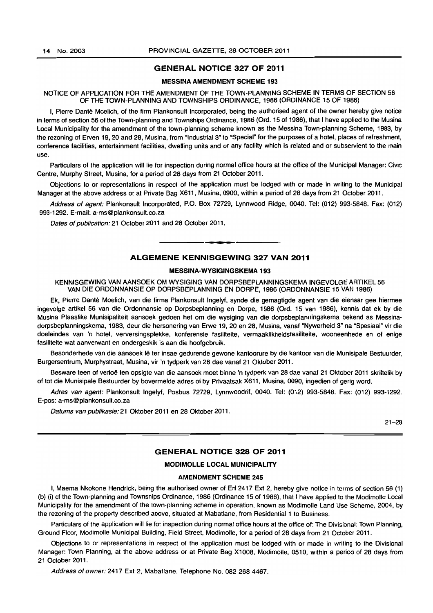### GENERAL NOTICE 327 OF 2011

#### MESSINA AMENDMENT SCHEME 193

#### NOTICE OF APPLICATION FOR THE AMENDMENT OF THE TOWN-PLANNING SCHEME IN TERMS OF SECTION 56 OF THE TOWN-PLANNING AND TOWNSHIPS ORDINANCE, 1986 (ORDINANCE 15 OF 1986)

I, Pierre Dante Moelich, of the firm Plankonsult Incorporated. being the authorised agent of the owner hereby give notice in terms of section 56 of the Town-planning and Townships Ordinance, 1986 (Ord. 15 of 1986), that I have applied to the Musina Local Municipality for the amendment of the town-planning scheme known as the Messina Town-planning Scheme, 1983, by the rezoning of Erven 19, 20 and 28, Musina, from "Industrial 3" to "Special" for the purposes of a hotel, places of refreshment, conference facilities, entertainment facilities, dwelling units and or any facility which is related and or subservient to the main use.

Particulars of the application wilt lie for inspection during normal office hours at the office of the Municipal Manager: Civic Centre, Murphy Street, Musina, for a period of 28 days from 21 October 2011.

Objections to or representations in respect of the application must be lodged with or made in writing to the Municipal Manager at the above address or at Private Bag X611, Musina, 0900, within a period of 28 days from 21 October 2011.

Address of agent: Plankonsult Incorporated, P.O. Box 72729, Lynnwood Ridge, 0040. Tel: (012) 993-5848. Fax: (012) 993-1292. E-mail: a-ms@plankonsult.co.za

Dates of publication: 21 October 2011 and 28 October 2011.

#### ALGEMENE KENNISGEWING 327 VAN 2011

**•** 

#### MESSINA-WYSIGINGSKEMA 193

KENNISGEWING VAN AANSOEK OM WYSIGING VAN DORPSBEPLANNINGSKEMA INGEVOLGE ARTIKEL 56 VAN DIE ORDONNANSIE OP DORPSBEPLANNING EN DORPE, 1986 (ORDONNANSIE 15 VAN 1986)

Ek, Pierre Dante Moelich, van die firma Plankonsult Ingelyf, synde die gemagtigde agent van die eienaar gee hiermee ingevolge artikel 56 van die Ordonnansie op Dorpsbeplanning en Dorpe. 1986 (Ord. 15 van 1986), kennis dal ek by die Musina Plaaslike Munisipaliteit aansoek gedoen het om die wysiging van die dorpsbeplanningskema bekend as Messinadorpsbeplanningskema, 1983, deur die hersonering van Erwe 19, 20 en 28, Musina, vanaf "Nywerheid 3" na "Spesiaal" vir die doeleindes van 'n hotel, verversingsplekke, konferensie fasiliteite, vermaaklikheidsfasiliteite, wooneenhede en of enige fasiliteite wat aanverwant en ondergeskik is aan die hoofgebruik.

Besonderhede van die aansoek Ie ter insae gedurende gewone kantoorure by die kantoor van die Munisipale Bestuurder, Burgersentrum. Murphystraat. Musina. vir 'n tydperk van 28 dae vanaf 21 Oktober 2011.

Besware teen of vertoë ten opsigte van die aansoek moet binne 'n tydperk van 28 dae vanaf 21 Oktober 2011 skriftelik by of tot die Munisipale Bestuurder by bovermelde adres of by Privaatsak X611. Musina. 0090. ingedien of gerig word.

Adres van agent: Plankonsult Ingelyf, Posbus 72729, Lynnwoodrif, 0040. Tel: (012) 993-5848. Fax: (012) 993-1292. E-pos: a-ms@plankonsult.co.za

Datums van publikasie: 21 Oktober 2011 en 28 Oktober 2011.

21-28

#### GENERAL NOTICE 328 OF 2011

#### MODIMOLLE LOCAL MUNICIPALITY

#### AMENDMENT SCHEME 245

I, Maema Nkokone Hendrick, being the authorised owner of Erf 2417 Ext 2. hereby give notice in terms of section 56 (1) (b) (i) of the Town-planning and Townships Ordinance, 1986 (Ordinance 15 of 1986), that I have applied to the Modimolle Local Municipality for the amendment of the town-planning scheme in operation. known as Modimolle Land Use Scheme. 2004, by the rezoning of the property described above, situated at Mabatlane, from Residential 1 to Business.

Particulars of the application will lie for inspection during normal office hours at the office of: The Divisional: Town Planning. Ground Floor. MOdimolle Municipal Building, Field Street, Modimolle. for a period of 28 days from 21 October 2011.

Objections to or representations in respect of the application must be lodged with or made in writing to the Divisional Manager: Town Planning, at the above address or at Private Bag X1008, Modimolle, 0510, within a period of 28 days from 21 October 2011.

Address of owner: 2417 Ext 2, Mabatlane. Telephone No. 082 268 4467.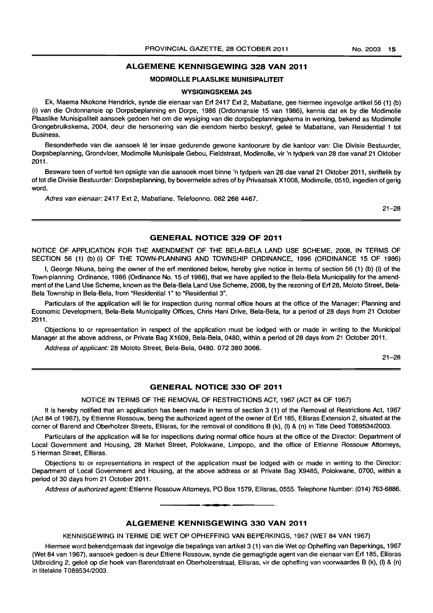#### ALGEMENE KENNISGEWING 328 VAN 2011

#### MODIMOLLE PLAASLIKE MUNISIPALITEIT

#### WYSIGINGSKEMA 245

Ek, Maema Nkokone Hendrick, synde die eienaar van Erf 2417 Ext 2, Mabatlane, gee hiermee ingevolge artikel56 (1) (b) (i) van die Ordonnansie op Dorpsbeplanning en Dorpe, 1986 (Ordonnansie 15 van 1986), kennis dat ek by die Modimolle Plaaslike Munisipaliteit aansoek gedoen het om die wysiging van die dorpsbeplanningskema in werking, bekend as Modimolle Grongebruikskema, 2004, deur die hersonering van die eiendom hierbo beskryf, gelee te Mabatlane, van Residential 1 tot Business.

Besonderhede van die aansoek lê ter insae gedurende gewone kantoorure by die kantoor van: Die Divisie Bestuurder, Dorpsbeplanning, Grondvloer, Modimolle Munisipale Gebou, Fieldstraat, Modimolle, vir 'n tydperk van 28 dae vanaf 21 Oktober 2011.

Besware teen of vertoë ten opsigte van die aansoek moet binne 'n tydperk van 28 dae vanaf 21 Oktober 2011, skriftelik by of tot die Divisie Bestuurder: Dorpsbeplanning, by bovermelde adres of by Privaatsak X1OO8, Modimolle, 0510, ingedien of gerig word.

Adres van eienaar: 2417 Ext 2, Mabatlane. Telefoonno. 082 268 4467.

21-28

#### GENERAL NOTICE 329 OF 2011

NOTICE OF APPLICATION FOR THE AMENDMENT OF THE BELA-BELA LAND USE SCHEME, 2008, IN TERMS OF SECTION 56 (1) (b) (i) OF THE TOWN-PLANNING AND TOWNSHIP ORDINANCE, 1996 (ORDINANCE 15 OF 1986)

I, George Nkuna, being the owner of the erf mentioned below, hereby give notice in terms of section 56 (1) (b) (i) of the Town-planning Ordinance, 1986 (Ordinance No. 15 of 1986), that we have applied to the Bela-Bela Municipality for the amendment of the Land Use Scheme, known as the Bela-Bela Land Use Scheme, 2008, by the rezoning of Erf 28, Moloto Street, Bela-Bela Township in Bela-Bela, from "Residential 1" to "Residential 3".

Particulars of the application will lie for inspection during normal office hours at the office of the Manager: Planning and Economic Development, Bela-Bela Municipality Offices, Chris Hani Drive, Bela-Bela, for a period of 28 days from 21 October 2011.

Objections to or representation in respect of the application must be lodged with or made in writing to the Municipal Manager at the above address, or Private Bag X1609, Bela-Bela, 0480, within a period of 28 days from 21 October 2011.

Address of applicant: 28 Moloto Street, Bela-Bela, 0480. 072 380 3066.

21-28

## GENERAL NOTICE 330 OF 2011

NOTICE IN TERMS OF THE REMOVAL OF RESTRICTIONS ACT, 1967 (ACT 84 OF 1967)

It is hereby notified that an application has been made in terms of section 3 (1) of the Removal of Restrictions Act, 1967 (Act 84 of 1967), by Ettienne Rossouw, being the authorized agent of the owner of Erf 185, Ellisras Extension 2, situated at the corner of Barend and Oberholzer Streets, Ellisras, for the removal of conditions B (k), (I) & (n) in Title Deed T089534/2003.

Particulars of the application will lie for inspections during normal office hours at the office of the Director: Department of Local Government and Housing, 28 Market Street, Polokwane, Limpopo, and the office of Ettienne Rossouw Attorneys, 5 Herman Street, Ellisras.

Objections to or representations in respect of the application must be lodged with or made in writing to the Director: Department of Local Government and Housing, at the above address or at Private Bag X9485, Polokwane, 0700, within a period of 30 days from 21 October 2011.

Address of authorized agent: Ettienne Rossouw Attorneys, PO Box 1579, Ellisras, 0555. Telephone Number: (014) 763-6886.

#### ALGEMENE KENNISGEWING 330 VAN 2011

• **• I** 

KENNISGEWING IN TERME DIE WET OP OPHEFFING VAN BEPERKINGS, 1967 (WET 84 VAN 1967)

Hiermee word bekendgemaak dat ingevolge die bepalings van artikel 3 (1) van die Wet op Opheffing van Beperkings, 1967 (Wet 84 van 1967), aansoek gedoen is deur Ettiene Rossouw, synde die gemagtigde agent van die eienaar van Erf 185, Ellisras Uitbreiding 2, geleë op die hoek van Barendstraat en Oberholzerstraat, Ellisras, vir die opheffing van voorwaardes B (k), (l) & (n) in titelakte T089534/2003.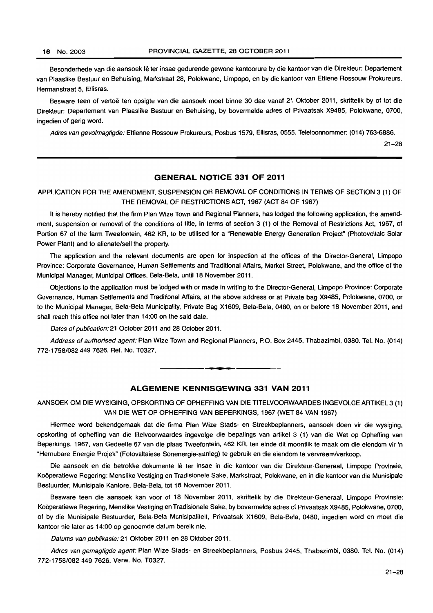Besonderhede van die aansoek lê ter insae gedurende gewone kantoorure by die kantoor van die Direkteur: Departement van Plaaslike Bestuur en Behuising, Markstraat 28, Polokwane, Limpopo, en by die kantoor van Ettiene Rossouw Prokureurs, Hermanstraat 5, Ellisras.

Besware teen of vertoe ten opsigte van die aansoek moet binne 30 dae vanaf 21 Oklober 2011, skriftelik by of tot die Direkteur: Departement van Plaaslike Bestuur en Behuising, by bovermelde adres of Privaatsak X9485, Polokwane, 0700, ingedien of gerig word.

Adres van gevolmagtigde: Ettienne Rossouw Prokureurs, Posbus 1579, Ellisras, 0555. Telefoonnommer: (014) 763-6886.

21-28

## **GENERAL NOTICE 331 OF 2011**

## APPLICATION FOR THE AMENDMENT, SUSPENSION OR REMOVAL OF CONDITIONS IN TERMS OF SECTION 3 (1) OF THE REMOVAL OF RESTRICTIONS ACT, 1967 (ACT 84 OF 1967)

It is hereby notified that the firm Plan Wize Town and Regional Planners, has lodged the following application, the amendment, suspension or removal of the conditions of title, in terms of section 3 (1) of the Removal of Restrictions Act, 1967, of Portion 67 of the farm Tweefontein, 462 KR, to be utilised for a "Renewable Energy Generation Project" (Photovoltaic Solar Power Plant) and to alienate/sell the property.

The application and the relevant documents are open for inspection at the offices of the Director-General, Limpopo Province: Corporate Governance, Human Settlements and Traditional Affairs, Market Street, Polokwane, and the office of the Municipal Manager. Municipal Offices, Bela-Bela, until 18 November 2011.

Objections to the application must be lodged with or made in writing to the Director-General, Limpopo Province: Corporate Governance, Human Settlements and Traditional Affairs, at the above address or at Private bag X9485, Polokwane, 0700, or to the Municipal Manager, Bela-Bela Municipality, Private Bag X1609, Bela-Bela, 0480, on or before 18 November 2011, and shall reach this office not later than 14:00 on the said date.

Dates of publication: 21 October 2011 and 28 October 2011.

Address of authorised agent: Plan Wize Town and Regional Planners, P.O. Box 2445, Thabazimbi, 0380. Tel. No. (014) 772-1758/0824497626. Ref. No. T0327.

#### **ALGEMENE KENNISGEWING 331 VAN 2011**

**•** 

AANSOEK OM DIE WYSIGING, OPSKORTING OF OPHEFFING VAN DIE TITELVOORWAARDES INGEVOLGE ARTIKEL 3 (1) VAN DIE WET OP OPHEFFING VAN BEPERKINGS, 1967 (WET 84 VAN 1967)

Hiermee word bekendgemaak dat die firma Plan Wize Stads- en Streekbeplanners, aansoek doen vir die wysiging, opskorting of opheffing van die titelvoorwaardes ingevolge die bepalings van artikel 3 (1) van die Wet op Opheffing van Beperkings. 1967, van Gedeelte 67 van die plaas Tweefontein, 462 KR, ten einde dit moontlik te maak om die eiendom vir 'n "Hernubare Energie Projek" (Fotovaltaiese Sonenergie-aanleg) le gebruik en die eiendom te vervreem/verkoop.

Die aansoek en die betrokke dokumente lê ter insae in die kantoor van die Direkteur-Generaal, Limpopo Provinsie, Kooperatiewe Regering: Menslike Vestiging en Tradisionele Sake, Markstraat, Polokwane, en in die kantoor van die Munisipale Bestuurder, Munisipale Kantore, Bela-Bela, lot 18 November 2011.

Besware teen die aansoek kan voor of 18 November 2011, skriftelik by die Direkteur-Generaal, limpopo Provinsie: Kooperaliewe Regering, Menslike Vestiging en Tradisionele Sake. by bovermelde adres of Privaatsak X9485, Polokwane, 0700, of by die Munisipale Bestuurder, Bela-Bela Munisipaliteit, Privaatsak X1609, Bela-Bela, 0480, ingedien word en moet die kantoor nie later as 14:00 op genoemde datum bereik nie.

Datums van pubfikasie: 21 Oktober 2011 en 28 Oktober 2011.

Adres van gemagtigde agent: Plan Wize Stads- en Streekbeplanners, Posbus 2445. Thabazimbi, 0380. Tel. No. (014) 772-1758/0824497626. Verw. No. T0327.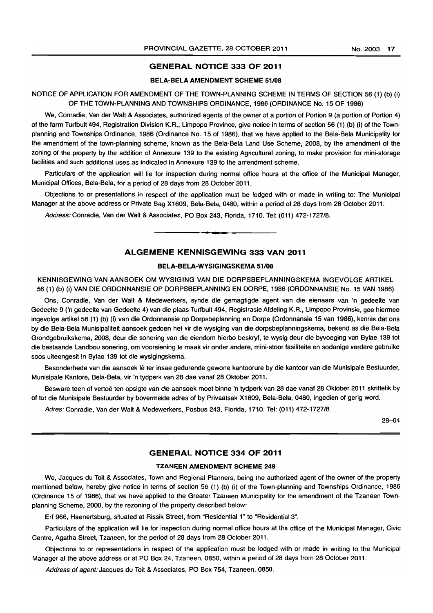#### GENERAL NOTICE 333 OF 2011

#### BELA-BELA AMENDMENT SCHEME 51/08

#### NOTICE OF APPLICATION FOR AMENDMENT OF THE TOWN-PLANNING SCHEME IN TERMS OF SECTION 56 (1) (b) (i) OF THE TOWN-PLANNING AND TOWNSHIPS ORDINANCE, 1986 (ORDINANCE No. 15 OF 1986)

We, Conradie, Van der Walt & Associates, authorized agents of the owner of a portion of Portion 9 (a portion of Portion 4) of the farm Turfbult 494, Registration Division K.R., Limpopo Province, give notice in terms of section 56 (1) (b) (i) of the Townplanning and Townships Ordinance, 1986 (Ordinance No. 15 of 1986), that we have applied to the Bela-Bela Municipality for the amendment of the town-planning scheme, known as the Bela-Bela Land Use Scheme, 2008, by the amendment of the zoning of the property by the addition of Annexure 139 to the existing Agricultural zoning, to make provision for mini-storage facilities and such additional uses as indicated in Annexure 139 to the amendment scheme.

Particulars of the application will lie for inspection during normal office hours at the office of the Municipal Manager, Municipal Offices. Bela-Bela, for a period of 28 days from 28 October 2011.

Objections to or presentations in respect of the application must be lodged with or made in writing to: The Municipal Manager at the above address or Private Bag X1609, Bela-Bela, 0480, within a period of 28 days from 28 October 2011.

Address: Conradie, Van der Walt & Associates, PO Box 243, Florida, 1710. Tel: (011) 472-1727/8 . . **- .** 

#### ALGEMENE KENNISGEWING 333 VAN 2011

#### BELA-BELA-WYSIGINGSKEMA 51/08

KENNISGEWING VAN AANSOEK OM WYSIGING VAN DIE DORPSBEPlANNINGSKEMA INGEVOLGE ARTIKEl 56 (1) (b) (i) VAN DIE ORDONNANSIE OP DORPSBEPLANNING EN DORPE, 1986 (ORDONNANSIE No. 15 VAN 1986)

Ons, Conradie, Van der Walt & Medewerkers, synde die gemagtigde agent van die eienaars van 'n gedeelte van Gedeelte 9 ('n gedeelte van Gedeelte 4) van die plaas Turfbult 494, Registrasie Afdeling K.R., Limpopo Provinsie, gee hiermee ingevolge artikel56 (1) (b) (i) van die Ordonnansie op Dorpsbeplanning en Dorpe (Ordonnansie 15 van 1986). kennis dat ons by die Bela-Bela Munisipaliteit aansoek gedoen het vir die wysiging van die dorpsbeplanningskema, bekend as die Bela-Bela Grondgebruikskema, 2008, deur die sonering van die eiendom hierbo beskryf, te wysig deur die byvoeging van Bylae 139 tot die bestaande landbou sonering, om voorsiening te maak vir onder andere, mini-stoor fasiliteite en sodanige verdere gebruike soos uiteengesit in Bylae 139 tot die wysigingskema.

Besonderhede van die aansoek lê ter insae gedurende gewone kantoorure by die kantoor van die Munisipale Bestuurder, Munisipale Kantore, Bela-Bela, vir 'n tydperk van 28 dae vanaf 28 Oktober 2011.

Besware teen of vertoë ten opsigte van die aansoek moet binne 'n tydperk van 28 dae vanaf 28 Oktober 2011 skriftelik by of tot die Munisipale Bestuurder by bovermelde adres of by Privaatsak X1609, Bela-Bela, 0480, ingedien of gerig word.

Adres: Conradie, Van der Walt & Medewerkers, Posbus 243, Florida, 1710. Tel: (011) 472-1727/8.

28-04

## GENERAL NOTICE 334 OF 2011

#### TZANEEN AMENDMENT SCHEME 249

We, Jacques du Toit & Associates, Town and Regional Planners, being the authorized agent of the owner of the property mentioned below, hereby give notice in terms of section 56 (1) (b) (i) of the Town-planning and Townships Ordinance, 1986 (Ordinance 15 of 1986), that we have applied to the Greater Tzaneen Municipality for the amendment of the Tzaneen Townplanning Scheme, 2000, by the rezoning of the property described below:

Erf 966, Haenertsburg, situated at Rissik Street, from "Residential 1" to "Residential 3".

Particulars of the application will lie for inspection during normal office hours at the office of the Municipal Manager, Civic Centre, Agatha Street, Tzaneen, for the period of 28 days from 28 October 2011.

Objections to or representations in respect of the application must be lodged with or made in writing to the Municipal Manager at the above address or at PO Box 24, Tzaneen, 0850, within a period of 28 days from 28 October 2011.

Address of agent: Jacques du Toit & Associates, PO Box 754, Tzaneen, 0850.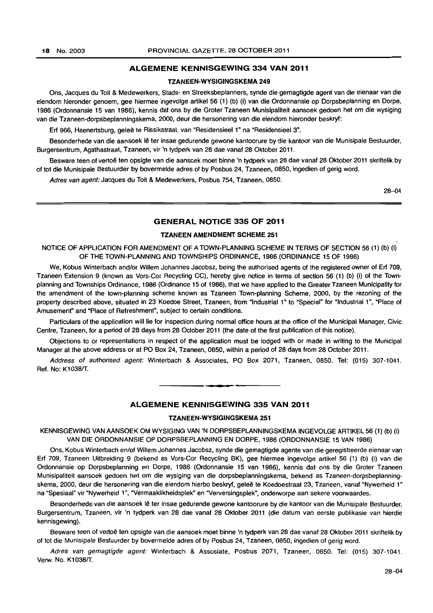### ALGEMENE KENNISGEWING 334 VAN 2011

#### TZANEEN-WVSIGINGSKEMA 249

Ons, Jacques du Toit & Medewerkers, Stads- en Streeksbeplanners, synde die gemagtigde agent van die eienaar van die eiendom hieronder genoem, gee hiermee ingevolge artikel 56 (1) (b) (i) van die Ordonnansie op Dorpsbeplanning en Dorpe, 1986 (Ordonnansie 15 van 1986), kennis dat ons by die Groter Tzaneen Munisipaliteit aansoek gedoen het om die wysiging van die Tzaneen-dorpsbeplanningskema, 2000, deur die hersonering van die eiendom hieronder beskryf:

Erf 966, Haenertsburg, geleë te Rissikstraat, van "Residensieel 1" na "Residensieel 3".

Besonderhede van die aansoek Ie ter insae gedurende gewone kantoorure by die kantoor van die Munisipale Bestuurder, Burgersentrum, Agathastraat, Tzaneen, vir 'n tydperk van 28 dae vanaf 28 Oktober 2011.

Besware teen of vertoë ten opsigte van die aansoek moet binne 'n tydperk van 28 dae vanaf 28 Oktober 2011 skriftelik by of tot die Munisipale Bestuurder by bovermelde adres of by Posbus 24, Tzaneen, 0850, ingedien of gerig word.

Adres van agent: Jacques du Toit & Medewerkers, Posbus 754, Tzaneen, 0850.

28-04

#### GENERAL NOTICE 335 OF 2011

#### TZANEEN AMENDMENT SCHEME 251

NOTICE OF APPLICATION FOR AMENDMENT OF A TOWN-PLANNING SCHEME IN TERMS OF SECTION 56 (1) (b) (i) OF THE TOWN-PLANNING AND TOWNSHIPS ORDINANCE, 1986 (ORDINANCE 15 OF 1986)

We, Kobus Winterbach and/or Willem Johannes Jacobsz, being the authorised agents of the registered owner of Erf 709, Tzaneen Extension 9 (known as Vors-Cor Recycling CC), hereby give notice in terms of section 56 (1) (b) (i) of the Townplanning and Townships Ordinance, 1986 (Ordinance 15 of 1986). that we have applied to the Greater Tzaneen Municipality for the amendment of the town-planning scheme known as Tzaneen Town-planning Scheme, 2000, by the rezoning of the property described above, situated in 23 Koedoe Street, Tzaneen, from "Industrial 1" to "Special" for "Industrial 1", "Place of Amusement" and "Place of Refreshment", subject to certain conditions.

Particulars of the application will lie for inspection during normal office hours at the office of the Municipal Manager, Civic Centre, Tzaneen, for a period of 28 days from 28 October 2011 (the date of the first publication of this notice).

Objections to or representations in respect of the application must be lodged with or made in writing to the Municipal Manager at the above address or at PO Box 24, Tzaneen, 0850, within a period of 28 days from 28 October 2011.

Address of authorised agent: Winterbach & Associates, PO Box 2071, Tzaneen, 0850. Tel: (015) 307-1041. Ref. No: K1038/T.

#### ALGEMENE KENNISGEWING 335 VAN 2011

. **- .** 

#### TZANEEN-WVSIGINGSKEMA 251

KENNISGEWING VAN AANSOEK OM WYSIGING VAN 'N DORPSBEPLANNINGSKEMA INGEVOLGE ARTIKEL 56 (1) (b) (i) VAN DIE ORDONNANSIE OP DORPSBEPLANNING EN DORPE, 1986 (ORDONNANSIE 15 VAN 1986)

Ons, Kobus Winterbach enlof Willem Johannes Jacobsz. synde die gemagtigde agente van die geregistreerde eienaar van Erf 709, Tzaneen Uitbreiding 9 (bekend as Vors-Cor Recycling BK), gee hiermee ingevolge artikel 56 (1) (b) (i) van die Ordonnansie op Dorpsbeplanning en Dorpe, 1986 (Ordonnansie 15 van 1986), kennis dat ons by die Groter Tzaneen Munisipaliteit aansoek gedoen het om die wysiging van die dorpsbeplanningskema, bekend as Tzaneen-dorpsbeplanningskema, 2000, deur die hersonering van die eiendom hierbo beskryf, gelee te Koedoestraat 23, Tzaneen, vanaf "Nywerheid 1" na "Spesiaal" vir "Nywerheid 1", "Vermaaklikheidsplek" en "Verversingsplek", onderworpe aan sekere voorwaardes.

Besonderhede van die aansoek Ie ter insae gedurende gewone kantoorure by die kantoor van die Munisipale Bestuurder, Burgersentrum, Tzaneen, vir 'n tydperk van 28 dae vanaf 28 Oktober 2011 (die datum van eerste publikasie van hierdie kennisgewing).

Besware teen of vertoë ten opsigte van die aansoek moet binne 'n tydperk van 28 dae vanaf 28 Oktober 2011 skriftelik by of lot die Munisipale Bestuurder by bovermelde adres of by Posbus 24, Tzaneen, 0850, ingedien of gerig word.

Adres van gemagtigde agent: Winterbach & Assosiate, Posbus 2071, Tzaneen, 0850. Tel: (015) 307-1041. Verw. No. K1038/T.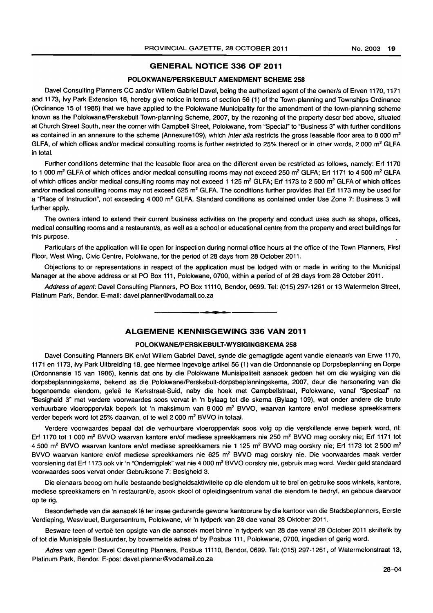#### GENERAL NOTICE 336 OF 2011

#### POLOKWANE/PERSKEBULT AMENDMENT SCHEME 258

Davel Consulting Planners CC and/or Willem Gabriel Davel, being the authorized agent of the owner/s of Erven 1170, 1171 and 1173, Ivy Park Extension 18, hereby give notice in terms of section 56 (1) of the Town-planning and Townships Ordinance (Ordinance 15 of 1986) that we have applied to the Polokwane Municipality for the amendment of the town-planning scheme known as the Polokwane/Perskebult Town-planning Scheme, 2007, by the rezoning of the property described above, situated at Church Street South, near the corner with Campbell Street, Polokwane, from "Special" to "Business 3" with further conditions as contained in an annexure to the scheme (Annexure109), which inter alia restricts the gross leasable floor area to 8 000 m<sup>2</sup> GLFA, of which offices and/or medical consulting rooms is further restricted to 25% thereof or in other words, 2000 m<sup>2</sup> GLFA in total.

Further conditions determine that the leasable floor area on the different erven be restricted as follows, namely: Erf 1170 to 1 000 m<sup>2</sup> GLFA of which offices and/or medical consulting rooms may not exceed 250 m<sup>2</sup> GLFA; Erf 1171 to 4 500 m<sup>2</sup> GLFA of which offices and/or medical consulting rooms may not exceed 1 125 m<sup>2</sup> GLFA; Erf 1173 to 2 500 m<sup>2</sup> GLFA of which offices and/or medical consulting rooms may not exceed 625 m<sup>2</sup> GLFA. The conditions further provides that Erf 1173 may be used for a "Place of Instruction", not exceeding 4 000 m<sup>2</sup> GLFA. Standard conditions as contained under Use Zone 7: Business 3 will further apply.

The owners intend to extend their current business activities on the property and conduct uses such as shops, offices, medical consulting rooms and a restaurant/s, as well as a school or educational centre from the property and erect buildings for this purpose.

Particulars of the application will lie open for inspection during normal office hours at the office of the Town Planners, First Floor, West Wing, Civic Centre, Polokwane, for the period of 28 days from 28 October 2011.

Objections to or representations in respect of the application must be lodged with or made in writing to the Municipal Manager at the above address or at PO Box 111, Polokwane, 0700, within a period of of 28 days from 28 October 2011.

Address of agent: Davel Consulting Planners, PO Box 11110, Bendor, 0699. Tel: (015) 297-1261 or 13 Watermelon Street, Platinum Park, Bendor. E-mail: davel.planner@vodamail.co.za

## ALGEMENE KENNISGEWING 336 VAN 2011

**-**

#### POLOKWANE/PERSKEBULT-WYSIGINGSKEMA 258

Davel Consulting Planners BK en/of Willem Gabriel Davel, synde die gemagtigde agent vandie eienaar/s van Erwe 1170, 1171 en 1173, Ivy Park Uitbreiding 18, gee hiermee ingevolge artikel 56 (1) van die Ordonnansie op Dorpsbeplanning en Dorpe (Ordonnansie 15 van 1986), kennis dat ons by die Polokwane Munisipaliteit aansoek gedoen het om die wysiging van die dorpsbeplanningskema, bekend as die Polokwane/Perskebult-dorpsbeplanningskema, 2007, deur die hersonering van die bogenoemde eiendom, gelee te Kerkstraat-Suid, naby die hoek met Campbellstraat, Polokwane, vanaf "Spesiaal" na "Besigheid 3" met verdere voorwaardes soos vervat in 'n bylaag tot die skema (Bylaag 109), wat onder andere die bruto verhuurbare vloeroppervlak beperk tot 'n maksimum van 8 000 m<sup>2</sup> BVVO, waarvan kantore en/of mediese spreekkamers verder beperk word tot 25% daarvan, of te wel 2 000 m<sup>2</sup> BVVO in totaal.

Verdere voorwaardes bepaal dat die verhuurbare vloeroppervlak soos volg op die verskillende erwe beperk word, nl: Erf 1170 tot 1 000 m<sup>2</sup> BVVO waarvan kantore en/of mediese spreekkamers nie 250 m<sup>2</sup> BVVO mag oorskry nie; Erf 1171 tot 4 500 m<sup>2</sup> BVVO waarvan kantore en/of mediese spreekkamers nie 1 125 m<sup>2</sup> BVVO mag oorskry nie; Erf 1173 tot 2 500 m<sup>2</sup> BVVO waarvan kantore en/of mediese spreekkamers nie 625 m<sup>2</sup> BVVO mag oorskry nie. Die voorwaardes maak verder voorsiening dat Erf 1173 ook vir 'n "Onderrigplek" wat nie 4 000 m<sup>2</sup> BVVO oorskry nie, gebruik mag word. Verder geld standaard voorwaardes soos vervat onder Gebruiksone 7: Besigheid 3.

Die eienaars beoog om hulle bestaande besigheidsaktiwiteite op die eiendom uit te brei en gebruike soos winkels, kantore, mediese spreekkamers en 'n restaurant/e, asook skool of opleidingsentrum vanaf die eiendom te bedryf, en geboue daarvoor op te rig.

Besonderhede van die aansoek Ie ter insae gedurende gewone kantoorure by die kantoor van die Stadsbeplanners, Eerste Verdieping, Wesvleuel, Burgersentrum, Polokwane, vir 'n tydperk van 28 dae vanaf 28 Oktober 2011.

Besware teen of vertoë ten opsigte van die aansoek moet binne 'n tydperk van 28 dae vanaf 28 October 2011 skriftelik by of tot die Munisipale Bestuurder, by bovermelde adres of by Posbus 111, Polokwane, 0700, ingedien of gerig word.

Adres van agent: Davel Consulting Planners, Posbus 11110, Bendor, 0699. Tel: (015) 297-1261, of Watermelonstraat 13, Platinum Park, Bendor. E-pos: davel.planner@vodamail.co.za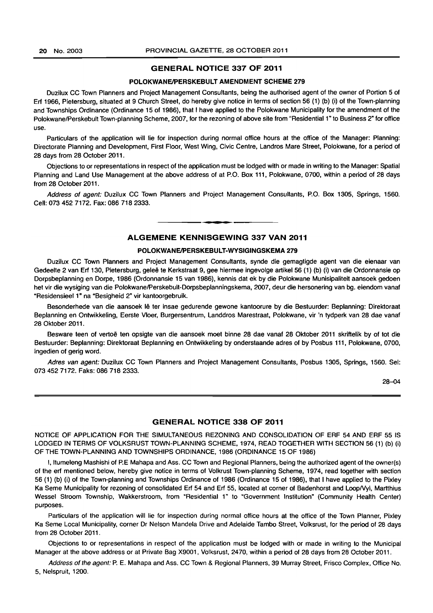## **GENERAL NOTICE 337 OF 2011**

#### **POLOKWANEIPERSKEBULT AMENDMENT SCHEME 279**

Duzilux CC Town Planners and Project Management Consultants, being the authorised agent of the owner of Portion 5 of Erf 1966, Pietersburg, situated at 9 Church Street, do hereby give notice in terms of section 56 (1) (b) (i) of the Town-planning and Townships Ordinance (Ordinance 15 of 1986), that I have applied to the Polokwane Municipality for the amendment of the Polokwane/Perskebult Town-planning Scheme, 2007, for the rezoning of above site from "Residential 1 " to Business 2" for office use.

Particulars of the application will lie for inspection during normal office hours at the office of the Manager: Planning: Directorate Planning and Development, First Floor, West Wing, Civic Centre, Landros Mare Street, Polokwane, for a period of 28 days from 28 October 2011.

Objections to or representations in respect of the application must be lodged with or made in writing to the Manager: Spatial Planning and Land Use Management at the above address of at P.O. Box 111, Polokwane, 0700, within a period of 28 days from 28 October 2011.

Address of agent: Duzilux CC Town Planners and Project Management Consultants, P.O. Box 1305, Springs, 1560. Cell: 073 452 7172. Fax: 086 718 2333.

#### **- . ALGEMENE KENNISGEWING 337 VAN 2011**

#### **POLOKWANEIPERSKEBULT-WYSIGINGSKEMA 279**

Duzilux CC Town Planners and Project Management Consultants, synde die gemagtigde agent van die eienaar van Gedeelte 2 van Erf 130, Pietersburg, geleë te Kerkstraat 9, gee hiermee ingevolge artikel 56 (1) (b) (i) van die Ordonnansie op Dorpsbeplanning en Dorpe, 1986 (Ordonnansie 15 van 1986), kennis dat ek by die Polokwane Munisipaliteit aansoek gedoen het vir die wysiging van die Polokwane/Perskebult-Dorpsbeplanningskema, 2007, deur die hersonering van bg. eiendom vanaf "Residensieel 1" na "Besigheid 2" vir kantoorgebruik.

Besonderhede van die aansoek lê ter insae gedurende gewone kantoorure by die Bestuurder: Beplanning: Direktoraat Beplanning en Ontwikkeling, Eerste Vloer, Burgersentrum, Landdros Marestraat, Polokwane, vir 'n tydperk van 28 dae vanaf 28 Oktober 2011.

Besware teen of vertoë ten opsigte van die aansoek moet binne 28 dae vanaf 28 Oktober 2011 skriftelik by of tot die Bestuurder: Beplanning: Direktoraat Beplanning en Ontwikkeling by onderstaande adres of by Posbus 111, Polokwane, 0700, ingedien of gerig word.

Adres van agent: Duzilux CC Town Planners and Project Management Consultants, Posbus 1305, Springs, 1560. Sel: 0734527172. Faks: 086 718 2333.

28-04

#### **GENERAL NOTICE 338 OF 2011**

NOTICE OF APPLICATION FOR THE SIMULTANEOUS REZONING AND CONSOLIDATION OF ERF 54 AND ERF 55 IS LODGED IN TERMS OF VOLKSRUST TOWN-PLANNING SCHEME, 1974, READ TOGETHER WITH SECTION 56 (1) (b) (i) OF THE TOWN-PLANNING AND TOWNSHIPS ORDINANCE, 1986 (ORDINANCE 15 OF 1986)

I, Itumeleng Mashishi of P.E Mahapa and Ass. CC Town and Regional Planners, being the authorized agent of the owner(s) of the erf mentioned below, hereby give notice in terms of Volkrust Town-planning Scheme, 1974, read together with section 56 (1) (b) (i) of the Town-planning and Townships Ordinance of 1986 (Ordinance 15 of 1986), that I have applied to the Pixley Ka Seme Municipality for rezoning of consolidated Erf 54 and Erf 55, located at corner of Badenhorst and LoopNyl, Martthius Wessel Stroom Township, Wakkerstroom, from "Residential 1" to "Government Institution" (Community Health Center) purposes.

Particulars of the application will lie for inspection during normal office hours at the office of the Town Planner, Pixley Ka Seme Local Municipality, corner Dr Nelson Mandela Drive and Adelaide Tambo Street, Volksrust, for the period of 28 days from 28 October 2011.

Objections to or representations in respect of the application must be lodged with or made in writing to the Municipal Manager at the above address or at Private Bag X9001, Volksrust, 2470, within a period of 28 days from 28 October 2011.

Address of the agent: P. E. Mahapa and Ass. CC Town & Regional Planners, 39 Murray Street, Frisco Complex, Office No. 5, Nelspruit, 1200.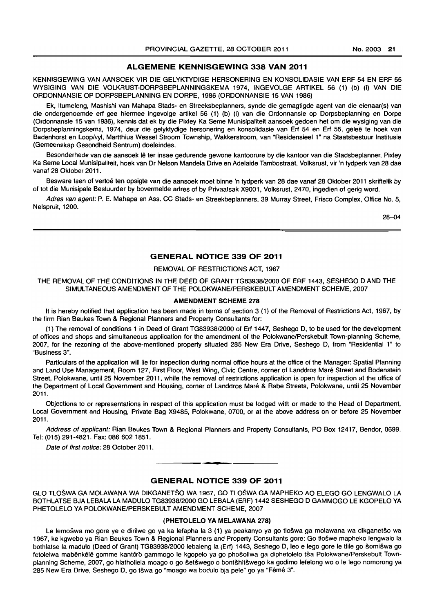### ALGEMENE KENNISGEWING 338 VAN 2011

KENNISGEWING VAN MNSOEK VIR DIE GELVKTYDIGE HERSONERING EN KONSOLIDASIE VAN ERF 54 EN ERF 55 WVSIGING VAN DIE VOLKRUST-DORPSBEPLANNINGSKEMA 1974, INGEVOLGE ARTIKEL 56 (1) (b) (i) VAN DIE ORDONNANSIE OP DORPSBEPLANNING EN DORPE, 1986 {ORDONNANSIE 15 VAN 1986}

Ek, Itumeleng, Mashishi van Mahapa Stads- en Streeksbeplanners, synde die gemagtigde agent van die eienaar(s) van die ondergenoemde erf gee hiermee ingevolge artikel 56 (1) (b) (i) van die Ordonnansie op Dorpsbeplanning en Dorpe (Ordonnansie 15 van 1986), kennis dat ek by die Pixley Ka Seme Munisipaliteit aansoek gedoen het om die wysiging van die Dorpsbeplanningskema, 1974, deur die gelyktydige hersonering en konsolidasie van Erf 54 en Erf 55, geleë te hoek van Badenhorst en Loop/vyl, Martthius Wessel Stroom Township, Wakkerstroom, van "Residensieel 1" na Staatsbestuur Institusie (Gemeenskap Gesondheid Sentrum) doeleindes.

Besonderhede van die aansoek lê ter insae gedurende gewone kantoorure by die kantoor van die Stadsbeplanner, Pixley Ka Seme Local Munisipaliteit, hoek van Dr Nelson Mandela Drive en Adelaide Tambostraat, Volksrust, vir 'n tydperk van 28 dae vanaf 28 Oktober 2011.

Besware teen of vertoë ten opsigte van die aansoek moet binne 'n tydperk van 28 dae vanaf 28 Oktober 2011 skriftelik by of tot die Munisipale Bestuurder by bovermelde adres of by Privaatsak X9001, Volksrust, 2470, ingedien of gerig word.

Adres van agent: P. E. Mahapa en Ass. CC Stads- en Streekbeplanners, 39 Murray Street, Frisco Complex, Office No.5, Nelspruit, 1200.

28-04

## GENERAL NOTICE 339 OF 2011

#### REMOVAL OF RESTRICTIONS ACT, 1967

THE REMOVAL OF THE CONDITIONS IN THE DEED OF GRANT TG83938/2000 OF ERF 1443, SESHEGO D AND THE SIMULTANEOUS AMENDMENT OF THE POLOKWANE/PERSKEBULT AMENDMENT SCHEME, 2007

#### AMENDMENT SCHEME 278

It is hereby notified that application has been made in terms of section 3 (1) of the Removal of Restrictions Act, 1967, by the firm Rian Beukes Town & Regional Planners and Property Consultants for:

(1) The removal of conditions 1 in Deed of Grant TG83938/2000 of Erf 1447, Seshego 0, to be used for the development of offices and shops and simultaneous application for the amendment of the PolokwanelPerskebult Town-planning Scheme, 2007, for the rezoning of the above-mentioned property situated 285 New Era Drive, Seshego 0, from "Residential 1" to "Business 3".

Particulars of the application will lie for inspection during normal office hours at the office of the Manager: Spatial Planning and Land Use Management, Room 127, First Floor, West Wing, Civic Centre, corner of Landdros Mare Street and Bodenstein Street, Polokwane, until 25 November 2011, while the removal of restrictions application is open for inspection at the office of the Department of Local Government and Housing, corner of Landdros Mare & Rabe Streets, Polokwane, until 25 November 2011.

Objections to or representations in respect of this application must be lodged with or made to the Head of Department, Local Government and Housing, Private Bag X9485, Polokwane, 0700, or at the above address on or before 25 November 2011.

Address of applicant: Rian Beukes Town & Regional Planners and Property Consultants, PO Box 12417, Bendor, 0699. Tel: (015) 291-4821. Fax: 086 6021851.

Date of first notice: 28 October 2011.

#### GENERAL NOTICE 339 OF 2011

**•** 

GLO TLOSWA GA MOLAWANA WA DIKGANETSO WA 1967, GO TLOSWA GA MAPHEKO AO ELEGO GO LENGWALO LA BOTHLATSE BJA LEBALA LA MADULO TG83938/2000 GO LEBALA (ERF) 1442 SESHEGO 0 GAMMOGO LE KGOPELO VA PHETOLELO VA POLOKWANE/PERSKEBULT AMENDMENT SCHEME, 2007

#### (PHETOLELO VA MELAWANA 278)

Le lemošwa mo gore ye e dirilwe go ya ka lefapha la 3 (1) ya peakanyo ya go tlošwa ga molawana wa dikganetšo wa 1967, ke kgwebo ya Rian Beukes Town & Regional Planners and Property Consultants gore: Go tloswe mapheko lengwalo la bothlatse la madulo (Deed of Grant) TG83938/2000 lebaleng la (Erf) 1443, Seshego D, leo e lego gore Ie tlile go somiswa go fetolelwa mabênkêlê gomme kantoro gammogo le kgopelo ya go phošollwa ga diphetolelo tša Polokwane/Perskebult Townplanning Scheme, 2007, go hlathollela moago 0 go setswego 0 bontshitswego ka godimo lefelong wo 0 Ie lego nomorong ya 285 New Era Drive, Seshego D, go tšwa go "moago wa bodulo bja pele" go ya "Fêmê 3".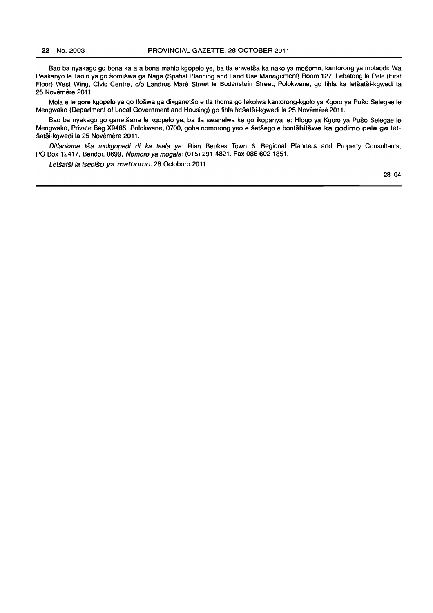Bao ba nyakago go bona ka a a bona mahlo kgopelo ye, ba tla ehwetsa ka nako ya mosomo, kantorong ya molaodi: Wa Peakanyo Ie Taolo ya go somiswa ga Naga (Spatial Planning and Land Use Management) Room 127, Lebatong la Pele (First Floor) West Wing, Civic Centre, clo Landros Mare Street Ie Bodenstein Street, Polokwane, go fihla ka letsatsi-kgwedi !a 25 Novêmêre 2011.

Mola e Ie gore kgopelo ya go tloswa ga dikganetso e tla thoma go lekolwa kantorong-kgolo ya Kgoro ya Puso Selegae Ie Mengwako (Department of Local Government and Housing) go fihla letsatsi·kgwedi la 25 Novemere 2011.

Bao ba nyakago go ganetšana le kgopelo ye, ba tla swanelwa ke go ikopanya le: Hlogo ya Kgoro ya Pušo Selegae le Mengwako, Private Bag X9485, Polokwane, 0700, goba nomorong yeo e setsego e bontshitswe ka godimo pele ga letšatši-kgwedi la 25 Novêmêre 2011.

Ditlankane tša mokgopedi di ka tsela ye: Rian Beukes Town & Regional Planners and Property Consultants, PO Box 12417, Bendor, 0699. Nomoro ya mogala: (015) 291-4821. Fax 086 602 1851.

Letšatši la tsebišo ya mathomo: 28 Octoboro 2011.